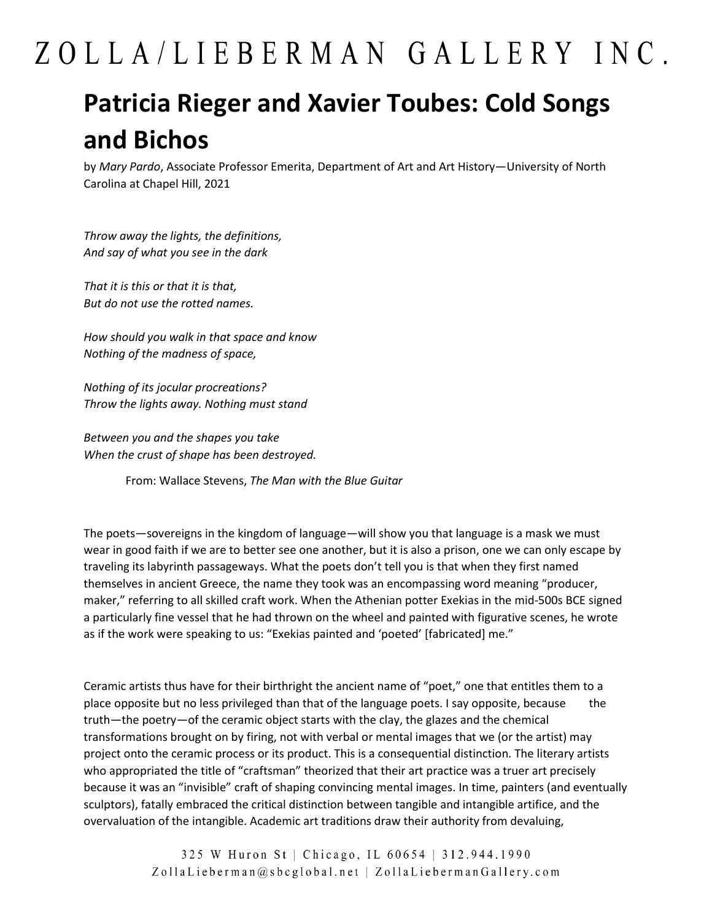## ZOLLA/LIEBERMAN GALLERY INC.

## **Patricia Rieger and Xavier Toubes: Cold Songs and Bichos**

by *Mary Pardo*, Associate Professor Emerita, Department of Art and Art History—University of North Carolina at Chapel Hill, 2021

*Throw away the lights, the definitions, And say of what you see in the dark*

*That it is this or that it is that, But do not use the rotted names.*

*How should you walk in that space and know Nothing of the madness of space,*

*Nothing of its jocular procreations? Throw the lights away. Nothing must stand*

*Between you and the shapes you take When the crust of shape has been destroyed.*

From: Wallace Stevens, *The Man with the Blue Guitar*

The poets—sovereigns in the kingdom of language—will show you that language is a mask we must wear in good faith if we are to better see one another, but it is also a prison, one we can only escape by traveling its labyrinth passageways. What the poets don't tell you is that when they first named themselves in ancient Greece, the name they took was an encompassing word meaning "producer, maker," referring to all skilled craft work. When the Athenian potter Exekias in the mid-500s BCE signed a particularly fine vessel that he had thrown on the wheel and painted with figurative scenes, he wrote as if the work were speaking to us: "Exekias painted and 'poeted' [fabricated] me."

Ceramic artists thus have for their birthright the ancient name of "poet," one that entitles them to a place opposite but no less privileged than that of the language poets. I say opposite, because the truth—the poetry—of the ceramic object starts with the clay, the glazes and the chemical transformations brought on by firing, not with verbal or mental images that we (or the artist) may project onto the ceramic process or its product. This is a consequential distinction. The literary artists who appropriated the title of "craftsman" theorized that their art practice was a truer art precisely because it was an "invisible" craft of shaping convincing mental images. In time, painters (and eventually sculptors), fatally embraced the critical distinction between tangible and intangible artifice, and the overvaluation of the intangible. Academic art traditions draw their authority from devaluing,

> 325 W Huron St | Chicago, IL 60654 | 312.944.1990 ZollaLieberman@sbcglobal.net | ZollaLiebermanGallery.com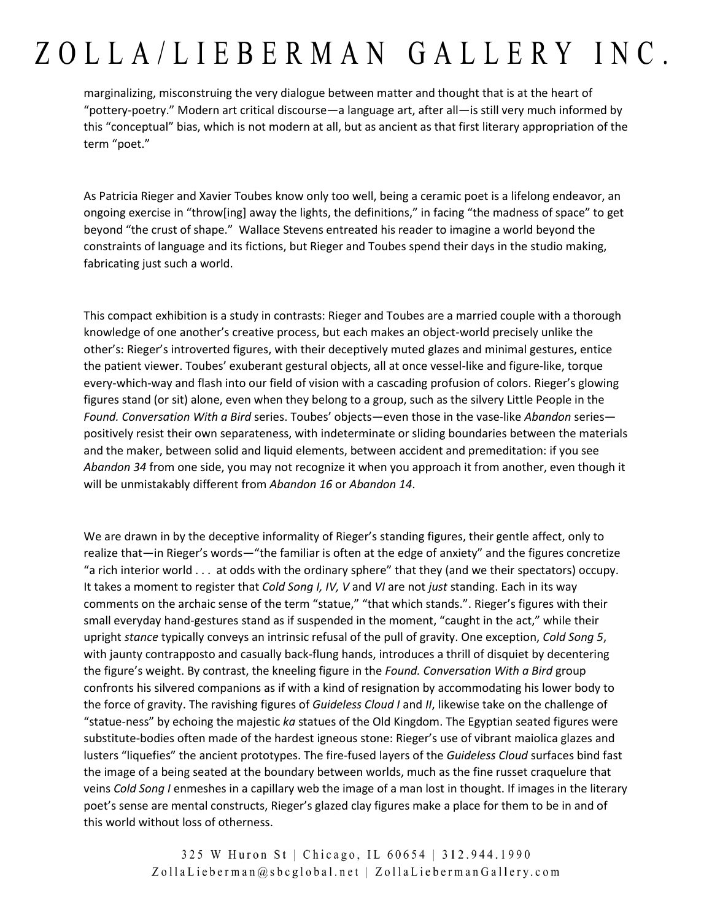## ZOLLA/LIEBERMAN GALLERY INC.

marginalizing, misconstruing the very dialogue between matter and thought that is at the heart of "pottery-poetry." Modern art critical discourse—a language art, after all—is still very much informed by this "conceptual" bias, which is not modern at all, but as ancient as that first literary appropriation of the term "poet."

As Patricia Rieger and Xavier Toubes know only too well, being a ceramic poet is a lifelong endeavor, an ongoing exercise in "throw[ing] away the lights, the definitions," in facing "the madness of space" to get beyond "the crust of shape." Wallace Stevens entreated his reader to imagine a world beyond the constraints of language and its fictions, but Rieger and Toubes spend their days in the studio making, fabricating just such a world.

This compact exhibition is a study in contrasts: Rieger and Toubes are a married couple with a thorough knowledge of one another's creative process, but each makes an object-world precisely unlike the other's: Rieger's introverted figures, with their deceptively muted glazes and minimal gestures, entice the patient viewer. Toubes' exuberant gestural objects, all at once vessel-like and figure-like, torque every-which-way and flash into our field of vision with a cascading profusion of colors. Rieger's glowing figures stand (or sit) alone, even when they belong to a group, such as the silvery Little People in the *Found. Conversation With a Bird* series. Toubes' objects—even those in the vase-like *Abandon* series positively resist their own separateness, with indeterminate or sliding boundaries between the materials and the maker, between solid and liquid elements, between accident and premeditation: if you see *Abandon 34* from one side, you may not recognize it when you approach it from another, even though it will be unmistakably different from *Abandon 16* or *Abandon 14*.

We are drawn in by the deceptive informality of Rieger's standing figures, their gentle affect, only to realize that—in Rieger's words—"the familiar is often at the edge of anxiety" and the figures concretize "a rich interior world . . . at odds with the ordinary sphere" that they (and we their spectators) occupy. It takes a moment to register that *Cold Song I, IV, V* and *VI* are not *just* standing. Each in its way comments on the archaic sense of the term "statue," "that which stands.". Rieger's figures with their small everyday hand-gestures stand as if suspended in the moment, "caught in the act," while their upright *stance* typically conveys an intrinsic refusal of the pull of gravity. One exception, *Cold Song 5*, with jaunty contrapposto and casually back-flung hands, introduces a thrill of disquiet by decentering the figure's weight. By contrast, the kneeling figure in the *Found. Conversation With a Bird* group confronts his silvered companions as if with a kind of resignation by accommodating his lower body to the force of gravity. The ravishing figures of *Guideless Cloud I* and *II*, likewise take on the challenge of "statue-ness" by echoing the majestic *ka* statues of the Old Kingdom. The Egyptian seated figures were substitute-bodies often made of the hardest igneous stone: Rieger's use of vibrant maiolica glazes and lusters "liquefies" the ancient prototypes. The fire-fused layers of the *Guideless Cloud* surfaces bind fast the image of a being seated at the boundary between worlds, much as the fine russet craquelure that veins *Cold Song I* enmeshes in a capillary web the image of a man lost in thought. If images in the literary poet's sense are mental constructs, Rieger's glazed clay figures make a place for them to be in and of this world without loss of otherness.

> 325 W Huron St | Chicago, IL 60654 | 312.944.1990 ZollaLieberman@sbcglobal.net | ZollaLiebermanGallery.com